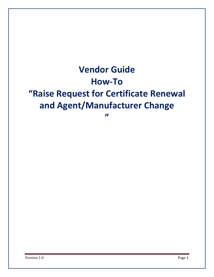# **Vendor Guide How-To "Raise Request for Certificate Renewal and Agent/Manufacturer Change**

**"**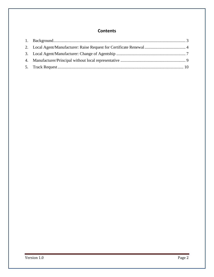## **Contents**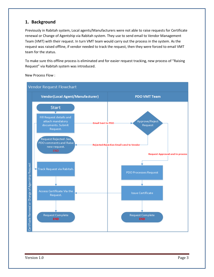### <span id="page-2-0"></span>**1. Background**

Previously in Rabitah system, Local agents/Manufacturers were not able to raise requests for Certificate renewal or Change of Agentship via Rabitah system. They use to send email to Vendor Management Team (VMT) with their request. In turn VMT team would carry out the process in the system. As the request was raised offline, if vendor needed to track the request, then they were forced to email VMT team for the status.

To make sure this offline process is eliminated and for easier request tracking, new process of "Raising Request" via Rabitah system was introduced.

New Process Flow :

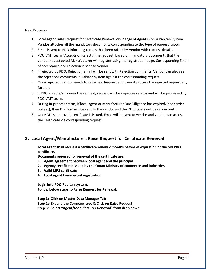New Process:-

- 1. Local Agent raises request for Certificate Renewal or Change of Agentship via Rabitah System. Vendor attaches all the mandatory documents corresponding to the type of request raised.
- 2. Email is sent to PDO informing request has been raised by Vendor with request details.
- 3. PDO VMT team "Accepts or Rejects" the request, based on mandatory documents that the vendor has attached Manufacturer will register using the registration page. Corresponding Email of acceptance and rejection is sent to Vendor.
- 4. If rejected by PDO, Rejection email will be sent with Rejection comments. Vendor can also see the rejections comments in Rabitah system against the corresponding request.
- 5. Once rejected, Vendor needs to raise new Request and cannot process the rejected request any further.
- 6. If PDO accepts/approves the request, request will be in-process status and will be processed by PDO VMT team.
- 7. During In-process status, if local agent or manufacturer Due Diligence has expired/(not carried out yet), then DD form will be sent to the vendor and the DD process will be carried out .
- 8. Once DD is approved, certificate is issued. Email will be sent to vendor and vendor can access the Certificate via corresponding request.

#### <span id="page-3-0"></span>**2. Local Agent/Manufacturer: Raise Request for Certificate Renewal**

**Local agent shall request a certificate renew 2 months before of expiration of the old PDO certificate.** 

**Documents required for renewal of the certificate are:**

- **1. Agent agreement between local agent and the principal**
- **2. Agency certificate issued by the Oman Ministry of commerce and industries**
- **3. Valid JSRS certificate**
- **4. Local agent Commercial registration**

**Login into PDO Rabitah system. Follow below steps to Raise Request for Renewal.**

**Step 1:- Click on Master Data Manager Tab Step 2:- Expand the Company tree & Click on Raise Request Step 3:- Select "Agent/Manufacturer Renewal" from drop down.**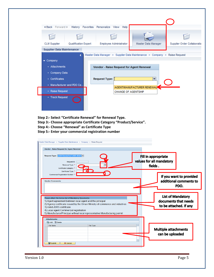| 4 Back Forward History Favorites Personalize View Help |                      |               |                            |                                                                           |                             |
|--------------------------------------------------------|----------------------|---------------|----------------------------|---------------------------------------------------------------------------|-----------------------------|
|                                                        |                      |               |                            |                                                                           |                             |
| <b>CLM Supplier</b>                                    | Qualification Expert |               | Employee Administrator     | Master Data Manager                                                       | Supplier Order Collaboratio |
| <b>Supplier Data Maintenance</b>                       |                      |               |                            |                                                                           |                             |
|                                                        |                      |               |                            | Master Data Manager > Supplier Data Maintenance > Company > Raise Request |                             |
| $\blacktriangleright$ Company                          |                      |               |                            |                                                                           |                             |
| • Attachments                                          |                      |               |                            | Vendor - Raise Request for Agent Renewal                                  |                             |
| • Company Data                                         |                      |               |                            |                                                                           |                             |
| • Certificates                                         |                      | Request Type: |                            | $\overline{\phantom{a}}$                                                  |                             |
| • Manufacturer and PDO Ce                              |                      |               |                            | AGENT/MANUFACTURER RENEWAL                                                |                             |
| • Raise Request                                        |                      |               | <b>CHANGE OF AGENTSHIP</b> |                                                                           |                             |
| • Track Request                                        |                      |               |                            |                                                                           |                             |

- **Step 2:- Select "Certificate Renewal" for Renewal Type.**
- **Step 3:- Choose appropriate Certificate Category "Product/Service".**
- **Step 4:- Choose "Renewal" as Certificate Type**
- **Step 5:- Enter your commercial registration number**

|                                                                                                                                                 | <b>Vendor - Raise Request for Agent Renewal</b> |                                                                               |                                |                                                                            |                                                   |
|-------------------------------------------------------------------------------------------------------------------------------------------------|-------------------------------------------------|-------------------------------------------------------------------------------|--------------------------------|----------------------------------------------------------------------------|---------------------------------------------------|
| Request Type: AGENT/MANUFACTURER RENEV V<br>Renewal Type: <sup>#</sup><br>Certificate Category: *                                               | <b>Request ID:</b>                              |                                                                               | Fill in appropriate<br>fields. | values for all mandatory                                                   |                                                   |
| Certificate Type: *<br>Commercial Registration Number: *<br><b>Vendor Comments:</b>                                                             |                                                 |                                                                               |                                |                                                                            | If you want to provided<br>additional comments to |
|                                                                                                                                                 |                                                 |                                                                               |                                |                                                                            | PDO.                                              |
|                                                                                                                                                 |                                                 |                                                                               |                                |                                                                            |                                                   |
| Please attach the below list of Mandatory Documents:<br>1). Agent agreement between local agent and the principal<br>3). Valid JSRS certificate |                                                 | 2). Agency certificate issued by the Oman Ministry of commerce and industries |                                | <b>List of Mandatory</b><br>documents that needs<br>to be attached. If any |                                                   |
| 4). Local agent Commercial registration                                                                                                         |                                                 | 5). Manufacturer/Principal without local representative: Manufacturing permit |                                |                                                                            |                                                   |
| <b>Attachments:</b><br>B Add m Delete                                                                                                           |                                                 |                                                                               |                                |                                                                            |                                                   |

**Version 1.0** Page 5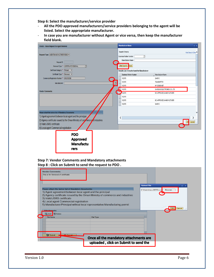**Step 6: Select the manufacturer/service provider** 

- **All the PDO approved manufacturers/service providers belonging to the agent will be listed. Select the appropriate manufacturer.**
- **In case you are manufacturer without Agent or vice versa, then keep the manufacturer field blank.**

| Vendor - Raise Request for Agent Renewal                                                                                                                                                                                                                                   | $\overline{\Box}$ x<br><b>Manufacturer Name</b>                                               |
|----------------------------------------------------------------------------------------------------------------------------------------------------------------------------------------------------------------------------------------------------------------------------|-----------------------------------------------------------------------------------------------|
| Request Type: AGENT/MANUFACTURER RENEV =                                                                                                                                                                                                                                   | Search Criteria<br>Hide Search Criter<br>đ<br>Business Partner Number:                        |
| Request ID:<br>Ō<br>Renewal Type: * CERTIFICATE RENEWAL<br>Certificate Category: * Product v                                                                                                                                                                               | Manufacturer Name:<br>Start Search<br>Reset<br>Results List: 8 results found for Manufacturer |
| Certificate Type: * Renewal $\blacktriangledown$                                                                                                                                                                                                                           | <b>Business Partner Number</b><br>Manufacturer Name                                           |
| Commercial Registration Number: * MRJ100000                                                                                                                                                                                                                                | 102176<br>SANYO                                                                               |
| 0<br>Manufacturer:                                                                                                                                                                                                                                                         | 102176<br>TRANSMITTER                                                                         |
|                                                                                                                                                                                                                                                                            | HP. DESIGNJET<br>102176                                                                       |
| <b>Vendor Comments:</b>                                                                                                                                                                                                                                                    | 102176<br>SAMSUNG ELECTRONICS CO. LTD                                                         |
|                                                                                                                                                                                                                                                                            | 102176<br>NO APPROVED MANUFACTURER                                                            |
|                                                                                                                                                                                                                                                                            | 102176                                                                                        |
|                                                                                                                                                                                                                                                                            | 102176<br>NO APPROVED MANUFACTURER                                                            |
| Please attach the below list of Mandatory Documents:<br>1). Agent agreement between local agent and the principal<br>2) Agency certificate issued by the Oman Ministry of commerce and industries<br>3). Valid JSRS certificate<br>4). Local agent Commercial registration | 102176<br>SANYO<br>∢<br>OK<br>Cancel                                                          |
| <b>PDO</b><br><b>Approved</b><br><b>Manufactu</b><br>rers                                                                                                                                                                                                                  |                                                                                               |

**Step 7: Vendor Comments and Mandatory attachments Step 8 : Click on Submit to send the request to PDO .**

| This is for Renewal of certificate                   |                                                                                 |                                  |
|------------------------------------------------------|---------------------------------------------------------------------------------|----------------------------------|
|                                                      |                                                                                 | <b>Upload File</b><br>ok         |
| Please attach the below list of Mandatory Documents: |                                                                                 | C:\Users\mucc885\Docur<br>Browse |
|                                                      | 1). Agent agreement between local agent and the principal                       |                                  |
|                                                      | 2). Agency certificate issued by the Oman Ministry of commerce and industries   |                                  |
| 3). Valid JSRS certificate                           |                                                                                 |                                  |
| 4). Local agent Commercial registration              |                                                                                 |                                  |
|                                                      | 5). Manufacturer/Principal without local representative: Manufacturing permit   |                                  |
|                                                      |                                                                                 | Cancel<br>οк                     |
| <b>Attachments:</b>                                  |                                                                                 |                                  |
| <b>Delete</b><br>Add                                 |                                                                                 |                                  |
| <b>File Name</b>                                     | File Type                                                                       |                                  |
|                                                      |                                                                                 |                                  |
|                                                      |                                                                                 |                                  |
|                                                      |                                                                                 |                                  |
|                                                      |                                                                                 |                                  |
|                                                      |                                                                                 |                                  |
|                                                      |                                                                                 |                                  |
| <b>De Submit</b><br><b>M</b> Cancel                  |                                                                                 |                                  |
|                                                      | Once all the mandatory attachments are<br>uploaded, click on Submit to send the |                                  |

Version 1.0 Page 6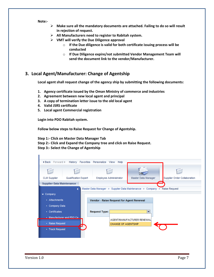**Note:-**

- ➢ **Make sure all the mandatory documents are attached. Failing to do so will result in rejection of request.**
- ➢ **All Manufacturers need to register to Rabitah system.**
- ➢ **VMT will verify the Due Diligence approval**
	- o **If the Due diligence is valid for both certificate issuing process will be conducted**
	- o **If Due Diligence expire/not submitted Vendor Management Team will send the document link to the vendor/Manufacturer.**

#### <span id="page-6-0"></span>**3. Local Agent/Manufacturer: Change of Agentship**

**Local agent shall request change of the agency ship by submitting the following documents:** 

- **1. Agency certificate issued by the Oman Ministry of commerce and industries**
- **2. Agreement between new local agent and principal**
- **3. A copy of termination letter issue to the old local agent**
- **4. Valid JSRS certificate**
- **5. Local agent Commercial registration**

**Login into PDO Rabitah system.** 

**Follow below steps to Raise Request for Change of Agentship.**

**Step 1:- Click on Master Data Manager Tab Step 2:- Click and Expand the Company tree and click on Raise Request. Step 3:- Select the Change of Agentship**

| <b>CLM Supplier</b>              | <b>Qualification Expert</b> |                                          | Employee Administrator     | Master Data Manager                                                       | Supplier Order Collaboration |
|----------------------------------|-----------------------------|------------------------------------------|----------------------------|---------------------------------------------------------------------------|------------------------------|
| <b>Supplier Data Maintenance</b> |                             |                                          |                            |                                                                           |                              |
|                                  |                             |                                          |                            | Master Data Manager > Supplier Data Maintenance > Company > Raise Request |                              |
| $\bullet$ Company                |                             |                                          |                            |                                                                           |                              |
| • Attachments                    |                             | Vendor - Raise Request for Agent Renewal |                            |                                                                           |                              |
| • Company Data                   |                             |                                          |                            |                                                                           |                              |
| • Certificates                   |                             | Request Type:                            |                            | $\overline{\mathbf{v}}$                                                   |                              |
|                                  | • Manufacturer and PDO Ce   |                                          |                            |                                                                           |                              |
| • Raise Request                  |                             |                                          | <b>CHANGE OF AGENTSHIP</b> | AGENT/MANUFACTURER RENEWAL                                                |                              |
|                                  | Æ                           |                                          |                            |                                                                           |                              |

.<br>II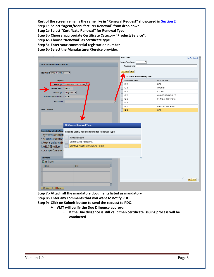**Rest of the screen remains the same like in "Renewal Request" showcased in [Section 2](#page-3-0)**

**Step 1:- Select "Agent/Manufacturer Renewal" from drop down.** 

**Step 2:- Select "Certificate Renewal" for Renewal Type.**

**Step 3:- Choose appropriate Certificate Category "Product/Service".** 

**Step 4:- Choose "Renewal" as certificate type** 

**Step 5:- Enter your commercial registration number**

**Step 6:- Select the Manufacturer/Service provider.** 

|                                                                                                                                                                                                                                                                                                                                                                               | Search Criteria                                                           | Hide Search Criteria        |
|-------------------------------------------------------------------------------------------------------------------------------------------------------------------------------------------------------------------------------------------------------------------------------------------------------------------------------------------------------------------------------|---------------------------------------------------------------------------|-----------------------------|
|                                                                                                                                                                                                                                                                                                                                                                               | Ō<br>Business Partner Number:                                             |                             |
| Vendor - Raise Request for Agent Renewal                                                                                                                                                                                                                                                                                                                                      | Manufacturer Name:                                                        |                             |
| Request Type: CHANGE OF AGENTSHIP<br>$\blacktriangledown$                                                                                                                                                                                                                                                                                                                     | Start Search Reset<br>A s List: 8 results found for Service provider<br>М |                             |
| Request ID:                                                                                                                                                                                                                                                                                                                                                                   | <b>Business Partner Number</b>                                            | Manufacturer Name           |
| Renewal Type: * CHANGE AGENT / MANUFACTURER                                                                                                                                                                                                                                                                                                                                   | 102176                                                                    | SANYO                       |
| Certificate Category: * Service v                                                                                                                                                                                                                                                                                                                                             | 102176                                                                    | TRANSMITTER                 |
|                                                                                                                                                                                                                                                                                                                                                                               | 102176                                                                    | HP. DESIGNJET               |
| Certificate Type: * Change Agent v                                                                                                                                                                                                                                                                                                                                            | 102176                                                                    | SAMSUNG ELECTRONICS CO. LTD |
| Commercial Registration Number: * MRJTEST                                                                                                                                                                                                                                                                                                                                     | 102176                                                                    | NO APPROVED MANUFACTURER    |
| Service provider:                                                                                                                                                                                                                                                                                                                                                             | 102176                                                                    |                             |
|                                                                                                                                                                                                                                                                                                                                                                               | 102176                                                                    | NO APPROVED MANUFACTURER    |
| <b>Vendor Comments:</b>                                                                                                                                                                                                                                                                                                                                                       | 102176                                                                    | <b>SANYO</b>                |
| <b>All Values: Renewal Type</b><br>Please attach the below list of Mand<br>Results List: 2 results found for Renewal Type<br>1). Agency certificate issued I<br>Renewal Type<br>2). Agreement between new I<br>CERTIFICATE RENEWAL<br>3). A copy of termination lette<br>process.<br>CHANGE AGENT / MANUFACTURER<br>4). Valid JSRS certificate<br>5).Local agent Commercial r |                                                                           |                             |
| Attachments:                                                                                                                                                                                                                                                                                                                                                                  | Ò                                                                         |                             |
| <b>最Add</b> flelete                                                                                                                                                                                                                                                                                                                                                           |                                                                           |                             |
| File Name<br>File Type<br>۷I<br>Submit<br>X Cancel                                                                                                                                                                                                                                                                                                                            |                                                                           | OK Cancel                   |

**Step 7:- Attach all the mandatory documents listed as mandatory**

**Step 8:- Enter any comments that you want to notify PDO .** 

**Step 9:- Click on Submit button to send the request to PDO.** 

- ➢ **VMT will verify the Due Diligence approval**
	- o **If the Due diligence is still valid then certificate issuing process will be conducted**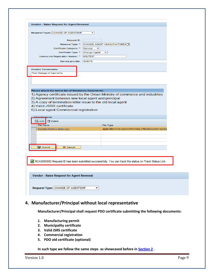| 1). Agency certificate issued by the Oman Ministry of commerce and industries                         |
|-------------------------------------------------------------------------------------------------------|
|                                                                                                       |
|                                                                                                       |
|                                                                                                       |
|                                                                                                       |
|                                                                                                       |
|                                                                                                       |
|                                                                                                       |
|                                                                                                       |
|                                                                                                       |
|                                                                                                       |
|                                                                                                       |
|                                                                                                       |
|                                                                                                       |
|                                                                                                       |
|                                                                                                       |
|                                                                                                       |
|                                                                                                       |
|                                                                                                       |
|                                                                                                       |
|                                                                                                       |
|                                                                                                       |
|                                                                                                       |
|                                                                                                       |
|                                                                                                       |
|                                                                                                       |
|                                                                                                       |
|                                                                                                       |
| application/vnd.openxmlformats-officedocument.sprea                                                   |
|                                                                                                       |
|                                                                                                       |
|                                                                                                       |
|                                                                                                       |
|                                                                                                       |
|                                                                                                       |
|                                                                                                       |
|                                                                                                       |
| RCA0000002 Request ID has been submitted successfully. You can track the status on Track Status Link. |
|                                                                                                       |
|                                                                                                       |
|                                                                                                       |
|                                                                                                       |
|                                                                                                       |
|                                                                                                       |
|                                                                                                       |
|                                                                                                       |
|                                                                                                       |
|                                                                                                       |

## <span id="page-8-0"></span>**4. Manufacturer/Principal without local representative**

**Manufacturer/Principal shall request PDO certificate submitting the following documents:** 

- **1. Manufacturing permit**
- **2. Municipality certificate**
- **3. Valid JSRS certificate**
- **4. Commercial registration**
- **5. PDO old certificate (optional)**

**In such type we follow the same steps as showcased before i[n Section 2](#page-3-0) .**

Version 1.0 Page 9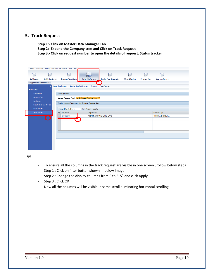#### <span id="page-9-0"></span>**5. Track Request**

**Step 1:- Click on Master Data Manager Tab** 

**Step 2:- Expand the Company tree and Click on Track Request** 

**Step 3:- Click on request number to open the details of request. Status tracker**

|                                             | 4 Back Forward > History Favorites Personalize View Help                                        |                     |                              |                        |                       |                            |  |  |  |  |
|---------------------------------------------|-------------------------------------------------------------------------------------------------|---------------------|------------------------------|------------------------|-----------------------|----------------------------|--|--|--|--|
| $\sqrt{2}$<br>⊂                             | ⋍                                                                                               |                     | П                            | n                      | $\Box$                | n                          |  |  |  |  |
| Qualification Expert<br><b>CLM Supplier</b> | Employee Administrator                                                                          | Master Data Manager | Supplier Order Collaboration | <b>RFx and Tenders</b> | <b>Document Store</b> | <b>Upcoming Tenders</b>    |  |  |  |  |
| <b>Supplier Data Maintenance</b>            |                                                                                                 |                     |                              |                        |                       |                            |  |  |  |  |
|                                             | Master Data Manager > Supplier Data Maintenance > Company > Track Request                       |                     |                              |                        |                       |                            |  |  |  |  |
| $\sqrt{\frac{1}{2}}$ Company                |                                                                                                 |                     |                              |                        |                       |                            |  |  |  |  |
| • Attachments                               | <b>Active Queries</b>                                                                           |                     |                              |                        |                       |                            |  |  |  |  |
| • Company Data                              | Vendor Request Track Vendor Request Tracking Query (1)                                          |                     |                              |                        |                       |                            |  |  |  |  |
| • Certificates                              |                                                                                                 |                     |                              |                        |                       |                            |  |  |  |  |
|                                             | Vendor Request Track - Vendor Request Tracking Query                                            |                     |                              |                        |                       |                            |  |  |  |  |
|                                             | · Manufacturer and PDO Ce<br>• Raise Request<br>View: [Standard View]<br>▼ Print Version Export |                     |                              |                        |                       |                            |  |  |  |  |
|                                             |                                                                                                 |                     |                              |                        |                       |                            |  |  |  |  |
| • Track Request                             | <b>E.</b> Deguast D                                                                             | Request Type        |                              |                        |                       | Renewal Type               |  |  |  |  |
|                                             | RDD0000003<br><b>Septe</b>                                                                      |                     | AGENT/MANUFACTURER RENEWAL   |                        |                       | <b>CERTIFICATE RENEWAL</b> |  |  |  |  |
|                                             |                                                                                                 |                     |                              |                        |                       |                            |  |  |  |  |
|                                             |                                                                                                 |                     |                              |                        |                       |                            |  |  |  |  |
|                                             |                                                                                                 |                     |                              |                        |                       |                            |  |  |  |  |
| $\blacksquare$                              |                                                                                                 |                     |                              |                        |                       |                            |  |  |  |  |
|                                             |                                                                                                 |                     |                              |                        |                       |                            |  |  |  |  |
|                                             |                                                                                                 |                     |                              |                        |                       |                            |  |  |  |  |
|                                             |                                                                                                 |                     |                              |                        |                       |                            |  |  |  |  |
|                                             |                                                                                                 |                     |                              |                        |                       |                            |  |  |  |  |

Tips:

- To ensure all the columns in the track request are visible in one screen , follow below steps
- Step 1 : Click on filter button shown in below image
- Step 2 : Change the display columns from 5 to "15" and click Apply
- Step 3 : Click OK
- Now all the columns will be visible in same scroll eliminating horizontal scrolling.